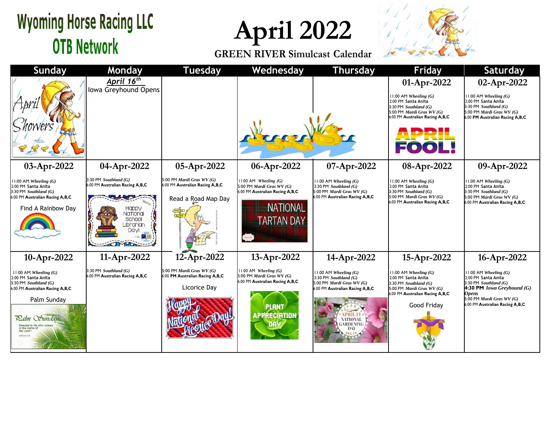## **Wyoming Horse Racing LLC OTB Network**

**April 2022**

**GREEN RIVER Simulcast Calendar**



| <b>Sunday</b>                                                                                                                                                           | Monday                                                                                                                | <b>Tuesday</b>                                                                      | Wednesday                                                                                                                                 | <b>Thursday</b>                                                                                                                                                                  | <b>Friday</b>                                                                                                                                                                | <b>Saturday</b>                                                                                                                                                                                             |
|-------------------------------------------------------------------------------------------------------------------------------------------------------------------------|-----------------------------------------------------------------------------------------------------------------------|-------------------------------------------------------------------------------------|-------------------------------------------------------------------------------------------------------------------------------------------|----------------------------------------------------------------------------------------------------------------------------------------------------------------------------------|------------------------------------------------------------------------------------------------------------------------------------------------------------------------------|-------------------------------------------------------------------------------------------------------------------------------------------------------------------------------------------------------------|
|                                                                                                                                                                         | April 16 <sup>th</sup><br>Iowa Greyhound Opens                                                                        |                                                                                     |                                                                                                                                           |                                                                                                                                                                                  | 01-Apr-2022<br>$11:00$ AM Wheeling $(G)$<br>2:00 PM Santa Anita<br>3:30 PM Southland $(G)$<br>5:00 PM <i>Mardi Gras WV</i> $(G)$<br>6:00 PM Australian Racing A,B,C<br>FOOL! | 02-Apr-2022<br>$11:00$ AM Wheeling $(G)$<br>2:00 PM Santa Anita<br>3:30 PM Southland $(G)$<br>5:00 PM Mardi Gras WV (G)<br>6:00 PM Australian Racing A,B,C                                                  |
| 03-Apr-2022                                                                                                                                                             | 04-Apr-2022                                                                                                           | 05-Apr-2022                                                                         | 06-Apr-2022                                                                                                                               | 07-Apr-2022                                                                                                                                                                      | 08-Apr-2022                                                                                                                                                                  | 09-Apr-2022                                                                                                                                                                                                 |
| 11:00 AM Wheeling (G)<br>2:00 PM Santa Anita<br>3:30 PM Southland (G)<br>6:00 PM Australian Racing A,B,C<br>Find A Rainbow Day                                          | 3:30 PM Southland $(G)$<br>6:00 PM Australian Racing A,B,C<br>Happ\<br>Vational<br>School<br>_ibrarian<br><b>Davi</b> | 5:00 PM Mardi Gras WV (G)<br>6:00 PM Australian Racing A,B,C<br>Read a Road Map Day | $11:00$ AM Wheeling $(G)$<br>5:00 PM Mardi Gras WV (G)<br>6:00 PM Australian Racing A,B,C<br><b>NATIONAL</b><br><b>ARTAN DAY</b>          | $11:00$ AM Wheeling $(G)$<br>$3:30$ PM Southland $(G)$<br>5:00 PM Mardi Gras WV (G)<br>6:00 PM Australian Racing A,B,C                                                           | $11:00$ AM Wheeling $(G)$<br>2:00 PM Santa Anita<br>3:30 PM Southland $(G)$<br>5:00 PM <i>Mardi Gras WV</i> $(G)$<br>6:00 PM Australian Racing A, B, C                       | $11:00$ AM Wheeling $(G)$<br>2:00 PM Santa Anita<br>3:30 PM Southland $(G)$<br>5:00 PM Mardi Gras WV (G)<br>6:00 PM Australian Racing A,B,C                                                                 |
| 10-Apr-2022                                                                                                                                                             | 11-Apr-2022                                                                                                           | 12-Apr-2022                                                                         | 13-Apr-2022                                                                                                                               | 14-Apr-2022                                                                                                                                                                      | 15-Apr-2022                                                                                                                                                                  | 16-Apr-2022                                                                                                                                                                                                 |
| 11:00 AM Wheeling $(G)$<br>2:00 PM Santa Anita<br>$3:30$ PM Southland $(G)$<br>6:00 PM Australian Racing A,B,C<br>Palm Sunday<br>Ralm Sunday<br>in the name<br>the Lord | $3:30$ PM Southland $(G)$<br>6:00 PM Australian Racing A,B,C                                                          | 5:00 PM Mardi Gras WV (G)<br>6:00 PM Australian Racing A,B,C<br>Licorice Day        | $11:00$ AM Wheeling $(G)$<br>5:00 PM <i>Mardi Gras WV</i> $(G)$<br>6:00 PM Australian Racing A,B,C<br><b>PLANT</b><br><b>APPRECIATION</b> | $11:00$ AM Wheeling $(G)$<br>3:30 PM $Southland(G)$<br>5:00 PM Mardi Gras $WV(G)$<br>6:00 PM Australian Racing A,B,C<br>VATIONAL<br><b>GARDENING</b><br>DAY<br>$0161$ $\bigcirc$ | $11:00$ AM Wheeling $(G)$<br>2:00 PM Santa Anita<br>3:30 PM Southland $(G)$<br>5:00 PM <i>Mardi Gras WV</i> $(G)$<br>6:00 PM Australian Racing A,B,C<br>Good Friday          | $11:00$ AM Wheeling $(G)$<br>2:00 PM Santa Anita<br>$3:30$ PM Southland $(G)$<br><b>4:30 PM</b> <i>Iowa Greyhound</i> $(G)$<br><b>Opens</b><br>5:00 PM Mardi Gras WV (G)<br>6:00 PM Australian Racing A,B,C |